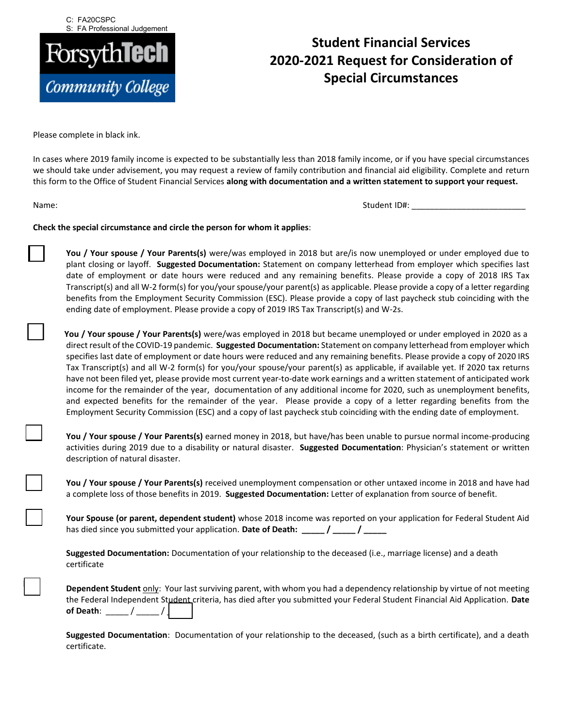C: FA20CSPC S: FA Professional Judgement



## **Student Financial Services 2020-2021 Request for Consideration of Special Circumstances**

Please complete in black ink.

In cases where 2019 family income is expected to be substantially less than 2018 family income, or if you have special circumstances we should take under advisement, you may request a review of family contribution and financial aid eligibility. Complete and return this form to the Office of Student Financial Services **along with documentation and a written statement to support your request.**

Student ID#: Name: \_\_\_\_\_\_\_\_\_\_\_\_\_\_\_\_\_\_\_\_\_\_\_\_\_

## **Check the special circumstance and circle the person for whom it applies**:

 **You / Your spouse / Your Parents(s)** were/was employed in 2018 but are/is now unemployed or under employed due to plant closing or layoff. **Suggested Documentation:** Statement on company letterhead from employer which specifies last date of employment or date hours were reduced and any remaining benefits. Please provide a copy of 2018 IRS Tax Transcript(s) and all W-2 form(s) for you/your spouse/your parent(s) as applicable. Please provide a copy of a letter regarding benefits from the Employment Security Commission (ESC). Please provide a copy of last paycheck stub coinciding with the ending date of employment. Please provide a copy of 2019 IRS Tax Transcript(s) and W-2s.

**You / Your spouse / Your Parents(s)** were/was employed in 2018 but became unemployed or under employed in 2020 as a direct result of the COVID-19 pandemic. **Suggested Documentation:** Statement on company letterhead from employer which specifies last date of employment or date hours were reduced and any remaining benefits. Please provide a copy of 2020 IRS Tax Transcript(s) and all W-2 form(s) for you/your spouse/your parent(s) as applicable, if available yet. If 2020 tax returns have not been filed yet, please provide most current year-to-date work earnings and a written statement of anticipated work income for the remainder of the year, documentation of any additional income for 2020, such as unemployment benefits, and expected benefits for the remainder of the year. Please provide a copy of a letter regarding benefits from the Employment Security Commission (ESC) and a copy of last paycheck stub coinciding with the ending date of employment.

 **You / Your spouse / Your Parents(s)** earned money in 2018, but have/has been unable to pursue normal income-producing activities during 2019 due to a disability or natural disaster. **Suggested Documentation**: Physician's statement or written description of natural disaster.

 **You / Your spouse / Your Parents(s)** received unemployment compensation or other untaxed income in 2018 and have had a complete loss of those benefits in 2019. **Suggested Documentation:** Letter of explanation from source of benefit.

 **Your Spouse (or parent, dependent student)** whose 2018 income was reported on your application for Federal Student Aid has died since you submitted your application. **Date of Death: \_\_\_\_\_ / \_\_\_\_\_ / \_\_\_\_\_**

**Suggested Documentation:** Documentation of your relationship to the deceased (i.e., marriage license) and a death certificate

/ \_\_\_\_\_ / **of Death**: \_\_\_\_\_ \_\_\_\_\_ **Dependent Student** only: Your last surviving parent, with whom you had a dependency relationship by virtue of not meeting the Federal Independent Student criteria, has died after you submitted your Federal Student Financial Aid Application. **Date** 

**Suggested Documentation**: Documentation of your relationship to the deceased, (such as a birth certificate), and a death certificate.